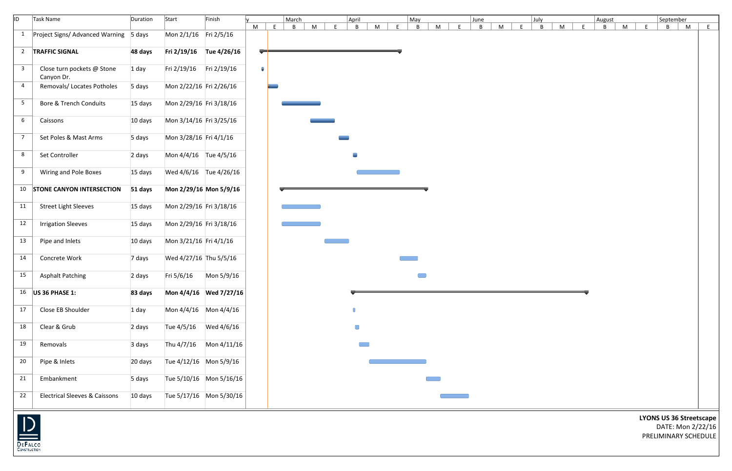| ID                                        | Task Name                                | Duration | Start                   | Finish                  |   |   | March |   |   | April                      |   | May     |   | June |   |   | July        |   |   | August |   |   | September    |                                                                             |    |
|-------------------------------------------|------------------------------------------|----------|-------------------------|-------------------------|---|---|-------|---|---|----------------------------|---|---------|---|------|---|---|-------------|---|---|--------|---|---|--------------|-----------------------------------------------------------------------------|----|
|                                           |                                          |          |                         |                         | M | E | B     | M | F | B                          | M | F.<br>B | M | B    | M | F | $\mathsf B$ | M | E | B      | M | F | $\mathsf{B}$ | M                                                                           | E. |
| $\mathbf{1}$                              | Project Signs/ Advanced Warning 5 days   |          | Mon 2/1/16 Fri 2/5/16   |                         |   |   |       |   |   |                            |   |         |   |      |   |   |             |   |   |        |   |   |              |                                                                             |    |
|                                           | 2 TRAFFIC SIGNAL                         | 48 days  |                         | Fri 2/19/16 Tue 4/26/16 |   |   |       |   |   |                            |   |         |   |      |   |   |             |   |   |        |   |   |              |                                                                             |    |
| $\mathbf{3}$                              | Close turn pockets @ Stone<br>Canyon Dr. | $1$ day  | Fri 2/19/16 Fri 2/19/16 |                         | 8 |   |       |   |   |                            |   |         |   |      |   |   |             |   |   |        |   |   |              |                                                                             |    |
| $\overline{4}$                            | Removals/ Locates Potholes               | 5 days   | Mon 2/22/16 Fri 2/26/16 |                         |   |   |       |   |   |                            |   |         |   |      |   |   |             |   |   |        |   |   |              |                                                                             |    |
| 5 <sup>5</sup>                            | <b>Bore &amp; Trench Conduits</b>        | 15 days  | Mon 2/29/16 Fri 3/18/16 |                         |   |   |       |   |   |                            |   |         |   |      |   |   |             |   |   |        |   |   |              |                                                                             |    |
| $6\overline{6}$                           | Caissons                                 | 10 days  | Mon 3/14/16 Fri 3/25/16 |                         |   |   |       |   |   |                            |   |         |   |      |   |   |             |   |   |        |   |   |              |                                                                             |    |
| $\overline{7}$                            | Set Poles & Mast Arms                    | 5 days   | Mon 3/28/16 Fri 4/1/16  |                         |   |   |       |   |   |                            |   |         |   |      |   |   |             |   |   |        |   |   |              |                                                                             |    |
| 8                                         | Set Controller                           | 2 days   | Mon 4/4/16 Tue 4/5/16   |                         |   |   |       |   |   | $\mathcal{L}_{\text{max}}$ |   |         |   |      |   |   |             |   |   |        |   |   |              |                                                                             |    |
| 9                                         | Wiring and Pole Boxes                    | 15 days  |                         | Wed 4/6/16 Tue 4/26/16  |   |   |       |   |   |                            |   |         |   |      |   |   |             |   |   |        |   |   |              |                                                                             |    |
|                                           | 10 STONE CANYON INTERSECTION             | 51 days  | Mon 2/29/16 Mon 5/9/16  |                         |   |   |       |   |   |                            |   |         |   |      |   |   |             |   |   |        |   |   |              |                                                                             |    |
| 11                                        | <b>Street Light Sleeves</b>              | 15 days  | Mon 2/29/16 Fri 3/18/16 |                         |   |   |       |   |   |                            |   |         |   |      |   |   |             |   |   |        |   |   |              |                                                                             |    |
| 12                                        | <b>Irrigation Sleeves</b>                | 15 days  | Mon 2/29/16 Fri 3/18/16 |                         |   |   |       |   |   |                            |   |         |   |      |   |   |             |   |   |        |   |   |              |                                                                             |    |
| 13                                        | Pipe and Inlets                          | 10 days  | Mon 3/21/16 Fri 4/1/16  |                         |   |   |       |   |   |                            |   |         |   |      |   |   |             |   |   |        |   |   |              |                                                                             |    |
| 14                                        | Concrete Work                            | 7 days   | Wed 4/27/16 Thu 5/5/16  |                         |   |   |       |   |   |                            |   |         |   |      |   |   |             |   |   |        |   |   |              |                                                                             |    |
| 15                                        | <b>Asphalt Patching</b>                  | 2 days   | Fri 5/6/16              | Mon 5/9/16              |   |   |       |   |   |                            |   |         |   |      |   |   |             |   |   |        |   |   |              |                                                                             |    |
|                                           | 16   US 36 PHASE 1:                      | 83 days  |                         | Mon 4/4/16 Wed 7/27/16  |   |   |       |   |   |                            |   |         |   |      |   |   |             |   |   |        |   |   |              |                                                                             |    |
| 17                                        | Close EB Shoulder                        | $1$ day  | Mon 4/4/16 Mon 4/4/16   |                         |   |   |       |   |   |                            |   |         |   |      |   |   |             |   |   |        |   |   |              |                                                                             |    |
| 18                                        | Clear & Grub                             | 2 days   |                         |                         |   |   |       |   |   | $\Box$                     |   |         |   |      |   |   |             |   |   |        |   |   |              |                                                                             |    |
| 19                                        | Removals                                 | 3 days   |                         | Thu 4/7/16 Mon 4/11/16  |   |   |       |   |   | <b>Common</b>              |   |         |   |      |   |   |             |   |   |        |   |   |              |                                                                             |    |
| $20\,$                                    | Pipe & Inlets                            | 20 days  | Tue 4/12/16 Mon 5/9/16  |                         |   |   |       |   |   |                            |   |         |   |      |   |   |             |   |   |        |   |   |              |                                                                             |    |
| 21                                        | Embankment                               | 5 days   |                         | Tue 5/10/16 Mon 5/16/16 |   |   |       |   |   |                            |   |         |   |      |   |   |             |   |   |        |   |   |              |                                                                             |    |
| 22                                        | <b>Electrical Sleeves &amp; Caissons</b> | 10 days  |                         | Tue 5/17/16 Mon 5/30/16 |   |   |       |   |   |                            |   |         |   |      |   |   |             |   |   |        |   |   |              |                                                                             |    |
| $\overline{\mathsf{D}}$<br><b>DEFALCO</b> |                                          |          |                         |                         |   |   |       |   |   |                            |   |         |   |      |   |   |             |   |   |        |   |   |              | <b>LYONS US 36 Streetscape</b><br>DATE: Mon 2/22/16<br>PRELIMINARY SCHEDULE |    |

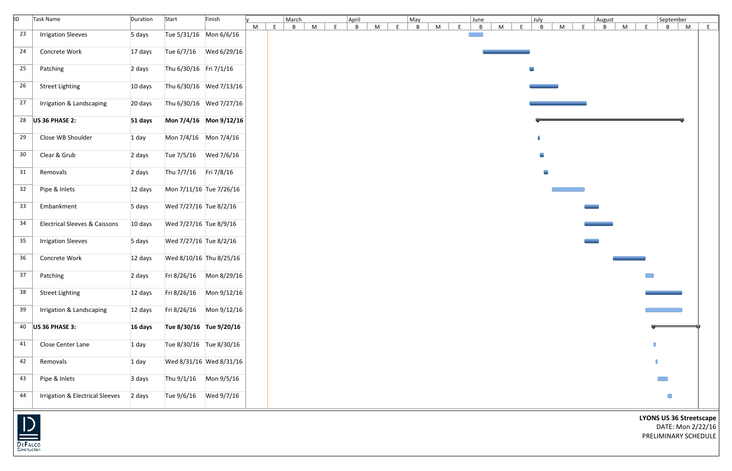| ID. | Task Name                                  | Duration | Start                  | Finish                  |   |   | March |   |    | April |   |   | May |   |    | June |   |                | July           |   |   | August |   |   | September                        |   |   |
|-----|--------------------------------------------|----------|------------------------|-------------------------|---|---|-------|---|----|-------|---|---|-----|---|----|------|---|----------------|----------------|---|---|--------|---|---|----------------------------------|---|---|
|     |                                            |          |                        |                         | M | E | B     | M | F. | B     | M | E | B   | M | F. | B    | M | E              | B              | M | F | B      | M | E | B                                | M | E |
| 23  | <b>Irrigation Sleeves</b>                  | 5 days   |                        | Tue 5/31/16 Mon 6/6/16  |   |   |       |   |    |       |   |   |     |   |    |      |   |                |                |   |   |        |   |   |                                  |   |   |
| 24  | Concrete Work                              | 17 days  |                        |                         |   |   |       |   |    |       |   |   |     |   |    |      |   |                |                |   |   |        |   |   |                                  |   |   |
| 25  | Patching                                   | 2 days   | Thu 6/30/16 Fri 7/1/16 |                         |   |   |       |   |    |       |   |   |     |   |    |      |   | $\blacksquare$ |                |   |   |        |   |   |                                  |   |   |
| 26  | <b>Street Lighting</b>                     | 10 days  |                        | Thu 6/30/16 Wed 7/13/16 |   |   |       |   |    |       |   |   |     |   |    |      |   |                |                |   |   |        |   |   |                                  |   |   |
| 27  | Irrigation & Landscaping                   | 20 days  |                        | Thu 6/30/16 Wed 7/27/16 |   |   |       |   |    |       |   |   |     |   |    |      |   |                |                |   |   |        |   |   |                                  |   |   |
|     | 28   US 36 PHASE 2:                        | 51 days  |                        | Mon 7/4/16 Mon 9/12/16  |   |   |       |   |    |       |   |   |     |   |    |      |   |                |                |   |   |        |   |   |                                  |   |   |
| 29  | Close WB Shoulder                          | $1$ day  |                        | Mon 7/4/16 Mon 7/4/16   |   |   |       |   |    |       |   |   |     |   |    |      |   |                |                |   |   |        |   |   |                                  |   |   |
| 30  | Clear & Grub                               | 2 days   |                        |                         |   |   |       |   |    |       |   |   |     |   |    |      |   |                | $\blacksquare$ |   |   |        |   |   |                                  |   |   |
| 31  | Removals                                   | 2 days   | Thu 7/7/16 Fri 7/8/16  |                         |   |   |       |   |    |       |   |   |     |   |    |      |   |                | $\blacksquare$ |   |   |        |   |   |                                  |   |   |
| 32  | Pipe & Inlets                              | 12 days  |                        | Mon 7/11/16 Tue 7/26/16 |   |   |       |   |    |       |   |   |     |   |    |      |   |                |                |   |   |        |   |   |                                  |   |   |
| 33  | Embankment                                 | 5 days   | Wed 7/27/16 Tue 8/2/16 |                         |   |   |       |   |    |       |   |   |     |   |    |      |   |                |                |   |   |        |   |   |                                  |   |   |
| 34  | <b>Electrical Sleeves &amp; Caissons</b>   | 10 days  | Wed 7/27/16 Tue 8/9/16 |                         |   |   |       |   |    |       |   |   |     |   |    |      |   |                |                |   |   |        |   |   |                                  |   |   |
| 35  | <b>Irrigation Sleeves</b>                  | 5 days   | Wed 7/27/16 Tue 8/2/16 |                         |   |   |       |   |    |       |   |   |     |   |    |      |   |                |                |   |   |        |   |   |                                  |   |   |
| 36  | Concrete Work                              | 12 days  |                        | Wed 8/10/16 Thu 8/25/16 |   |   |       |   |    |       |   |   |     |   |    |      |   |                |                |   |   |        |   |   |                                  |   |   |
| 37  | Patching                                   | 2 days   |                        | Fri 8/26/16 Mon 8/29/16 |   |   |       |   |    |       |   |   |     |   |    |      |   |                |                |   |   |        |   |   |                                  |   |   |
| 38  | <b>Street Lighting</b>                     | 12 days  |                        | Fri 8/26/16 Mon 9/12/16 |   |   |       |   |    |       |   |   |     |   |    |      |   |                |                |   |   |        |   |   | __                               |   |   |
| 39  | Irrigation & Landscaping                   | 12 days  |                        | Fri 8/26/16 Mon 9/12/16 |   |   |       |   |    |       |   |   |     |   |    |      |   |                |                |   |   |        |   |   | <u> 1989 - Johann Barnett, f</u> |   |   |
|     | 40 $\bigcup$ US 36 PHASE 3:                | 16 days  |                        | Tue 8/30/16 Tue 9/20/16 |   |   |       |   |    |       |   |   |     |   |    |      |   |                |                |   |   |        |   |   |                                  |   |   |
| 41  | Close Center Lane                          | $1$ day  |                        | Tue 8/30/16 Tue 8/30/16 |   |   |       |   |    |       |   |   |     |   |    |      |   |                |                |   |   |        |   |   |                                  |   |   |
| 42  | Removals                                   | $1$ day  |                        | Wed 8/31/16 Wed 8/31/16 |   |   |       |   |    |       |   |   |     |   |    |      |   |                |                |   |   |        |   |   |                                  |   |   |
| 43  | Pipe & Inlets                              | 3 days   |                        | Thu 9/1/16 Mon 9/5/16   |   |   |       |   |    |       |   |   |     |   |    |      |   |                |                |   |   |        |   |   | <b>The Second</b>                |   |   |
| 44  | <b>Irrigation &amp; Electrical Sleeves</b> | 2 days   |                        |                         |   |   |       |   |    |       |   |   |     |   |    |      |   |                |                |   |   |        |   |   | $\Box$                           |   |   |